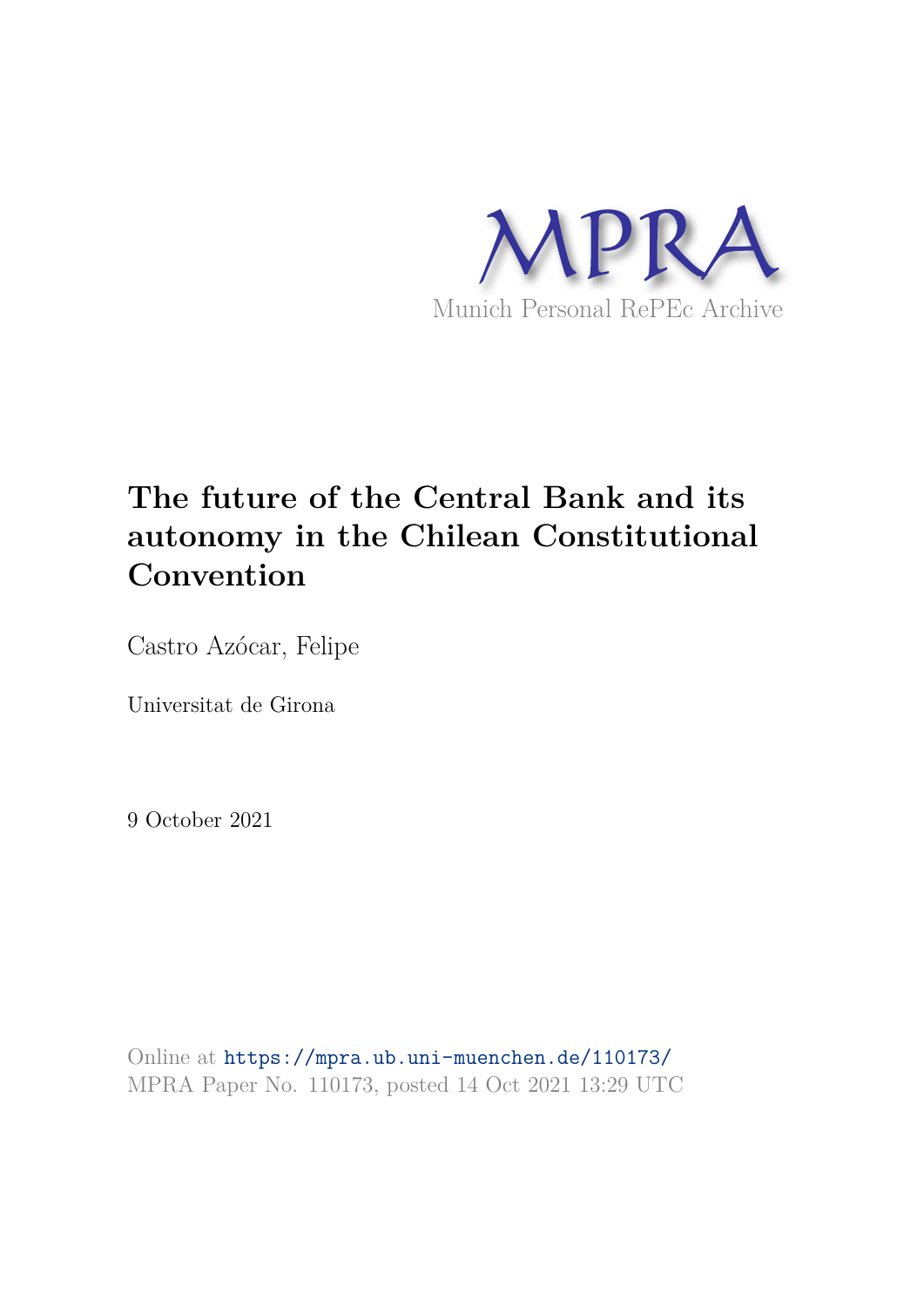

## **The future of the Central Bank and its autonomy in the Chilean Constitutional Convention**

Castro Azócar, Felipe

Universitat de Girona

9 October 2021

Online at https://mpra.ub.uni-muenchen.de/110173/ MPRA Paper No. 110173, posted 14 Oct 2021 13:29 UTC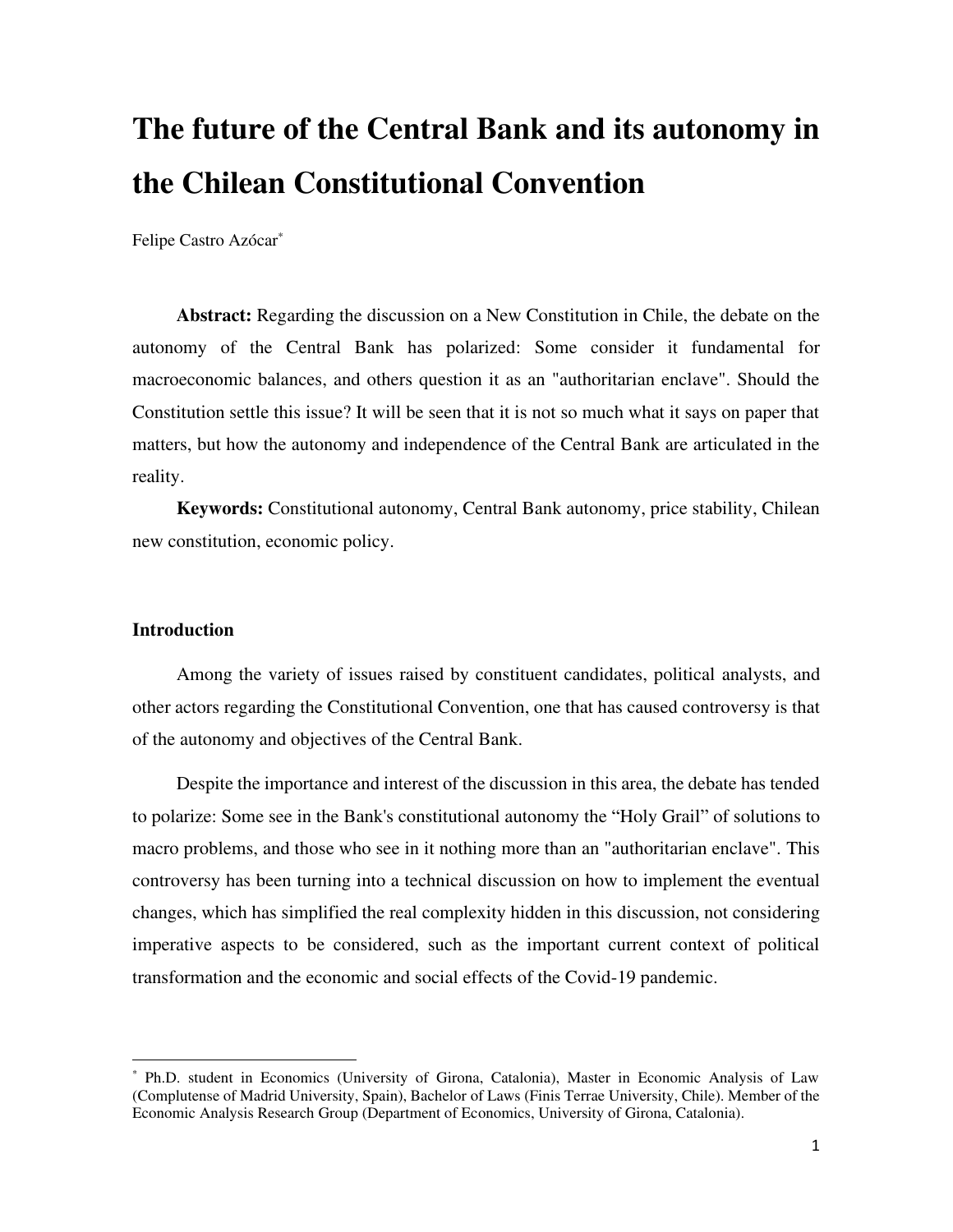# **The future of the Central Bank and its autonomy in the Chilean Constitutional Convention**

Felipe Castro Azócar\*

**Abstract:** Regarding the discussion on a New Constitution in Chile, the debate on the autonomy of the Central Bank has polarized: Some consider it fundamental for macroeconomic balances, and others question it as an "authoritarian enclave". Should the Constitution settle this issue? It will be seen that it is not so much what it says on paper that matters, but how the autonomy and independence of the Central Bank are articulated in the reality.

**Keywords:** Constitutional autonomy, Central Bank autonomy, price stability, Chilean new constitution, economic policy.

#### **Introduction**

Among the variety of issues raised by constituent candidates, political analysts, and other actors regarding the Constitutional Convention, one that has caused controversy is that of the autonomy and objectives of the Central Bank.

Despite the importance and interest of the discussion in this area, the debate has tended to polarize: Some see in the Bank's constitutional autonomy the "Holy Grail" of solutions to macro problems, and those who see in it nothing more than an "authoritarian enclave". This controversy has been turning into a technical discussion on how to implement the eventual changes, which has simplified the real complexity hidden in this discussion, not considering imperative aspects to be considered, such as the important current context of political transformation and the economic and social effects of the Covid-19 pandemic.

<sup>\*</sup> Ph.D. student in Economics (University of Girona, Catalonia), Master in Economic Analysis of Law (Complutense of Madrid University, Spain), Bachelor of Laws (Finis Terrae University, Chile). Member of the Economic Analysis Research Group (Department of Economics, University of Girona, Catalonia).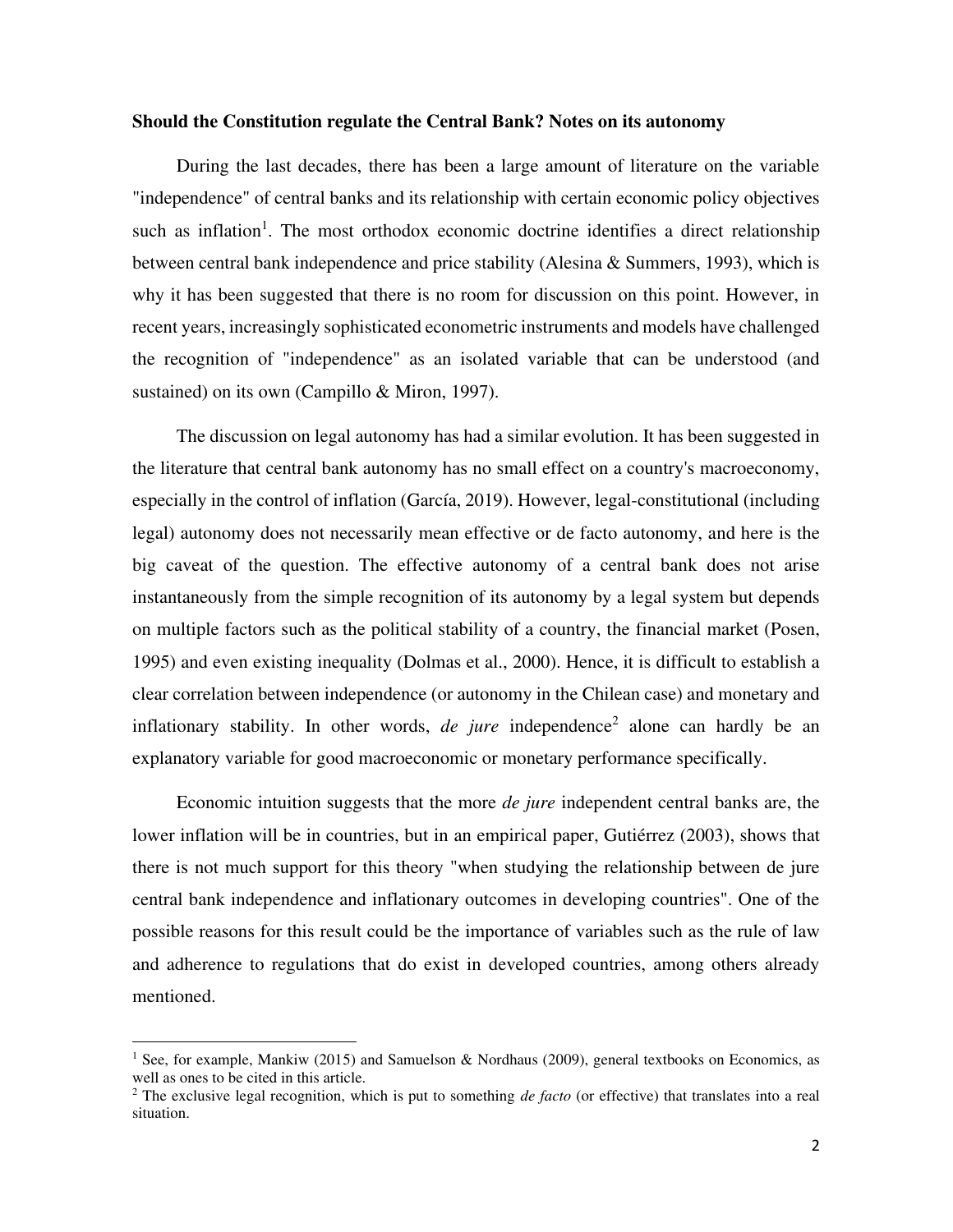#### **Should the Constitution regulate the Central Bank? Notes on its autonomy**

During the last decades, there has been a large amount of literature on the variable "independence" of central banks and its relationship with certain economic policy objectives such as inflation<sup>1</sup>. The most orthodox economic doctrine identifies a direct relationship between central bank independence and price stability (Alesina & Summers, 1993), which is why it has been suggested that there is no room for discussion on this point. However, in recent years, increasingly sophisticated econometric instruments and models have challenged the recognition of "independence" as an isolated variable that can be understood (and sustained) on its own (Campillo & Miron, 1997).

The discussion on legal autonomy has had a similar evolution. It has been suggested in the literature that central bank autonomy has no small effect on a country's macroeconomy, especially in the control of inflation (García, 2019). However, legal-constitutional (including legal) autonomy does not necessarily mean effective or de facto autonomy, and here is the big caveat of the question. The effective autonomy of a central bank does not arise instantaneously from the simple recognition of its autonomy by a legal system but depends on multiple factors such as the political stability of a country, the financial market (Posen, 1995) and even existing inequality (Dolmas et al., 2000). Hence, it is difficult to establish a clear correlation between independence (or autonomy in the Chilean case) and monetary and inflationary stability. In other words,  $de$  *jure* independence<sup>2</sup> alone can hardly be an explanatory variable for good macroeconomic or monetary performance specifically.

Economic intuition suggests that the more *de jure* independent central banks are, the lower inflation will be in countries, but in an empirical paper, Gutiérrez (2003), shows that there is not much support for this theory "when studying the relationship between de jure central bank independence and inflationary outcomes in developing countries". One of the possible reasons for this result could be the importance of variables such as the rule of law and adherence to regulations that do exist in developed countries, among others already mentioned.

<sup>&</sup>lt;sup>1</sup> See, for example, Mankiw (2015) and Samuelson & Nordhaus (2009), general textbooks on Economics, as well as ones to be cited in this article.

<sup>2</sup> The exclusive legal recognition, which is put to something *de facto* (or effective) that translates into a real situation.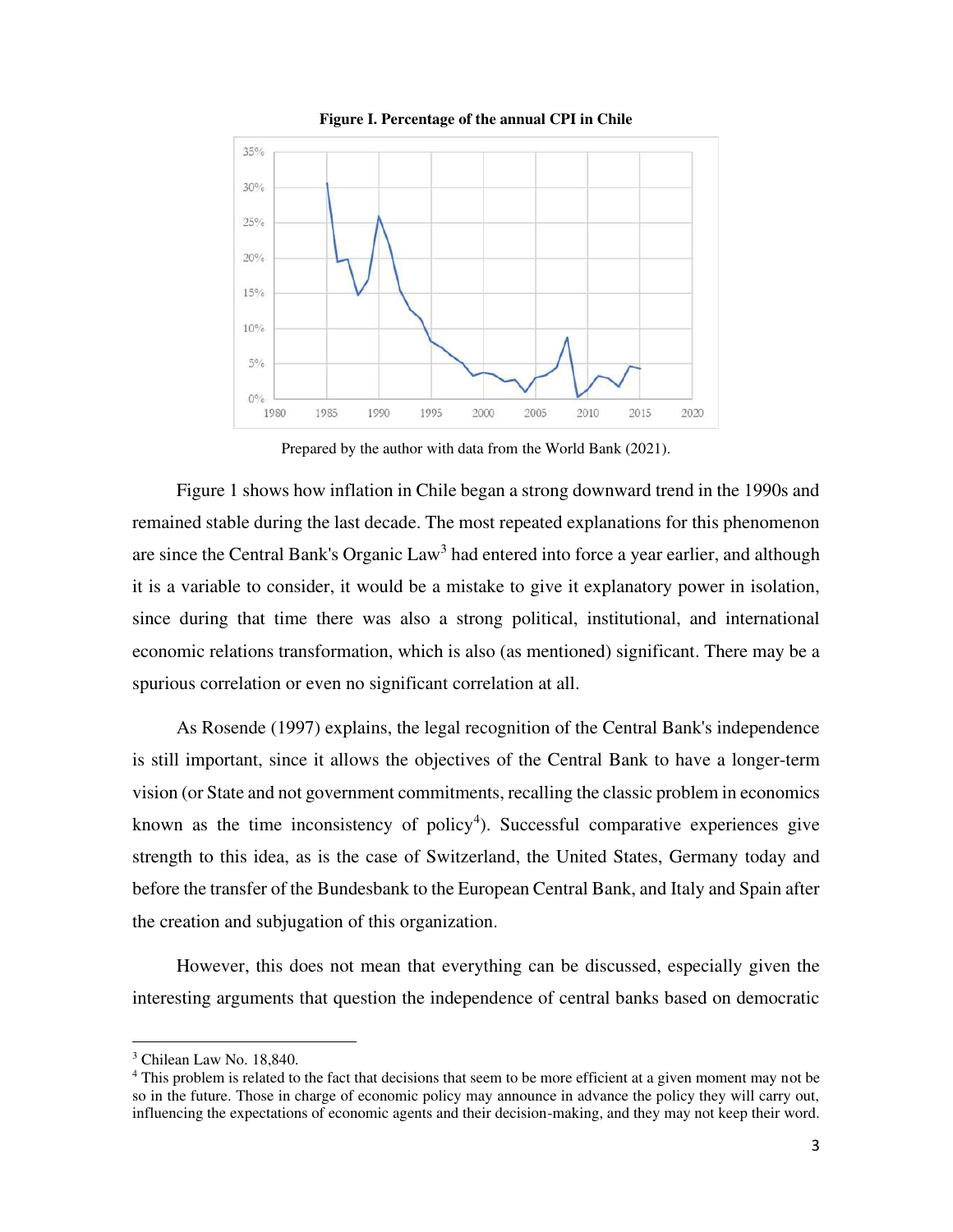

**Figure I. Percentage of the annual CPI in Chile** 

Prepared by the author with data from the World Bank (2021).

Figure 1 shows how inflation in Chile began a strong downward trend in the 1990s and remained stable during the last decade. The most repeated explanations for this phenomenon are since the Central Bank's Organic Law<sup>3</sup> had entered into force a year earlier, and although it is a variable to consider, it would be a mistake to give it explanatory power in isolation, since during that time there was also a strong political, institutional, and international economic relations transformation, which is also (as mentioned) significant. There may be a spurious correlation or even no significant correlation at all.

As Rosende (1997) explains, the legal recognition of the Central Bank's independence is still important, since it allows the objectives of the Central Bank to have a longer-term vision (or State and not government commitments, recalling the classic problem in economics known as the time inconsistency of policy<sup>4</sup>). Successful comparative experiences give strength to this idea, as is the case of Switzerland, the United States, Germany today and before the transfer of the Bundesbank to the European Central Bank, and Italy and Spain after the creation and subjugation of this organization.

However, this does not mean that everything can be discussed, especially given the interesting arguments that question the independence of central banks based on democratic

<sup>3</sup> Chilean Law No. 18,840.

<sup>&</sup>lt;sup>4</sup> This problem is related to the fact that decisions that seem to be more efficient at a given moment may not be so in the future. Those in charge of economic policy may announce in advance the policy they will carry out, influencing the expectations of economic agents and their decision-making, and they may not keep their word.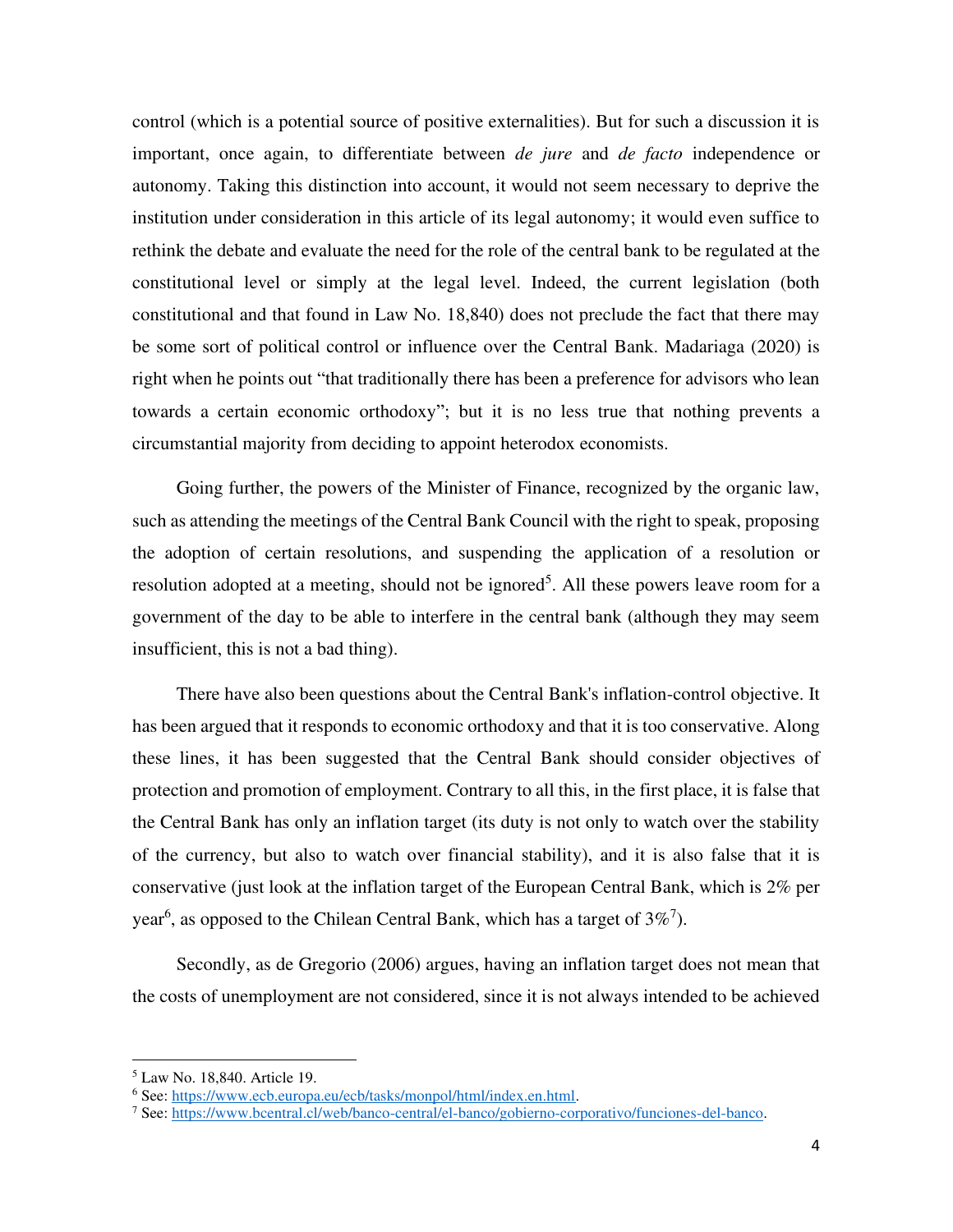control (which is a potential source of positive externalities). But for such a discussion it is important, once again, to differentiate between *de jure* and *de facto* independence or autonomy. Taking this distinction into account, it would not seem necessary to deprive the institution under consideration in this article of its legal autonomy; it would even suffice to rethink the debate and evaluate the need for the role of the central bank to be regulated at the constitutional level or simply at the legal level. Indeed, the current legislation (both constitutional and that found in Law No. 18,840) does not preclude the fact that there may be some sort of political control or influence over the Central Bank. Madariaga (2020) is right when he points out "that traditionally there has been a preference for advisors who lean towards a certain economic orthodoxy"; but it is no less true that nothing prevents a circumstantial majority from deciding to appoint heterodox economists.

Going further, the powers of the Minister of Finance, recognized by the organic law, such as attending the meetings of the Central Bank Council with the right to speak, proposing the adoption of certain resolutions, and suspending the application of a resolution or resolution adopted at a meeting, should not be ignored<sup>5</sup>. All these powers leave room for a government of the day to be able to interfere in the central bank (although they may seem insufficient, this is not a bad thing).

There have also been questions about the Central Bank's inflation-control objective. It has been argued that it responds to economic orthodoxy and that it is too conservative. Along these lines, it has been suggested that the Central Bank should consider objectives of protection and promotion of employment. Contrary to all this, in the first place, it is false that the Central Bank has only an inflation target (its duty is not only to watch over the stability of the currency, but also to watch over financial stability), and it is also false that it is conservative (just look at the inflation target of the European Central Bank, which is 2% per year<sup>6</sup>, as opposed to the Chilean Central Bank, which has a target of  $3\%$ <sup>7</sup>).

Secondly, as de Gregorio (2006) argues, having an inflation target does not mean that the costs of unemployment are not considered, since it is not always intended to be achieved

<sup>5</sup> Law No. 18,840. Article 19.

<sup>&</sup>lt;sup>6</sup> See[: https://www.ecb.europa.eu/ecb/tasks/monpol/html/index.en.html.](https://www.ecb.europa.eu/ecb/tasks/monpol/html/index.en.html)

<sup>&</sup>lt;sup>7</sup> See[: https://www.bcentral.cl/web/banco-central/el-banco/gobierno-corporativo/funciones-del-banco.](https://www.bcentral.cl/web/banco-central/el-banco/gobierno-corporativo/funciones-del-banco)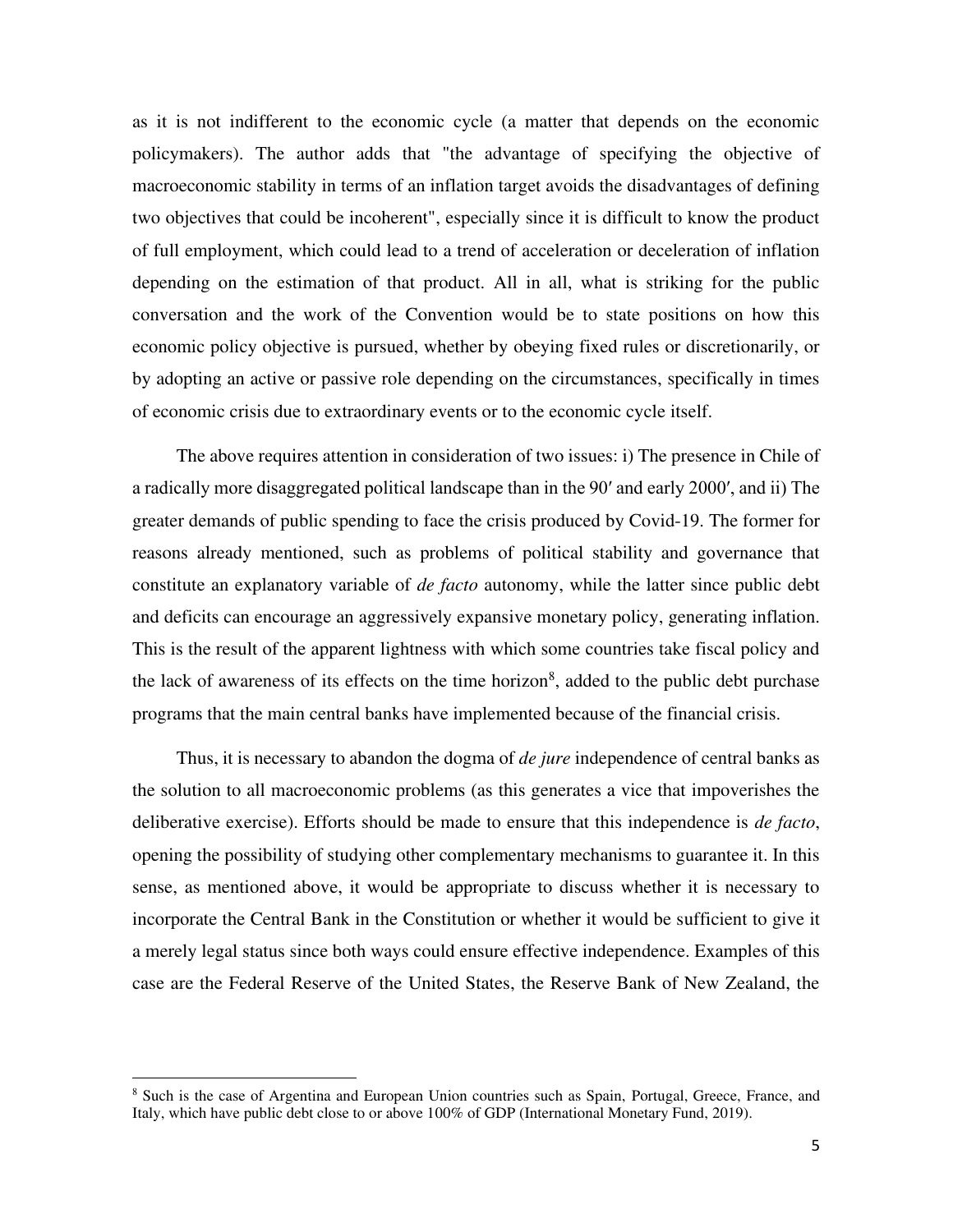as it is not indifferent to the economic cycle (a matter that depends on the economic policymakers). The author adds that "the advantage of specifying the objective of macroeconomic stability in terms of an inflation target avoids the disadvantages of defining two objectives that could be incoherent", especially since it is difficult to know the product of full employment, which could lead to a trend of acceleration or deceleration of inflation depending on the estimation of that product. All in all, what is striking for the public conversation and the work of the Convention would be to state positions on how this economic policy objective is pursued, whether by obeying fixed rules or discretionarily, or by adopting an active or passive role depending on the circumstances, specifically in times of economic crisis due to extraordinary events or to the economic cycle itself.

The above requires attention in consideration of two issues: i) The presence in Chile of a radically more disaggregated political landscape than in the 90′ and early 2000′, and ii) The greater demands of public spending to face the crisis produced by Covid-19. The former for reasons already mentioned, such as problems of political stability and governance that constitute an explanatory variable of *de facto* autonomy, while the latter since public debt and deficits can encourage an aggressively expansive monetary policy, generating inflation. This is the result of the apparent lightness with which some countries take fiscal policy and the lack of awareness of its effects on the time horizon<sup>8</sup>, added to the public debt purchase programs that the main central banks have implemented because of the financial crisis.

Thus, it is necessary to abandon the dogma of *de jure* independence of central banks as the solution to all macroeconomic problems (as this generates a vice that impoverishes the deliberative exercise). Efforts should be made to ensure that this independence is *de facto*, opening the possibility of studying other complementary mechanisms to guarantee it. In this sense, as mentioned above, it would be appropriate to discuss whether it is necessary to incorporate the Central Bank in the Constitution or whether it would be sufficient to give it a merely legal status since both ways could ensure effective independence. Examples of this case are the Federal Reserve of the United States, the Reserve Bank of New Zealand, the

<sup>&</sup>lt;sup>8</sup> Such is the case of Argentina and European Union countries such as Spain, Portugal, Greece, France, and Italy, which have public debt close to or above 100% of GDP (International Monetary Fund, 2019).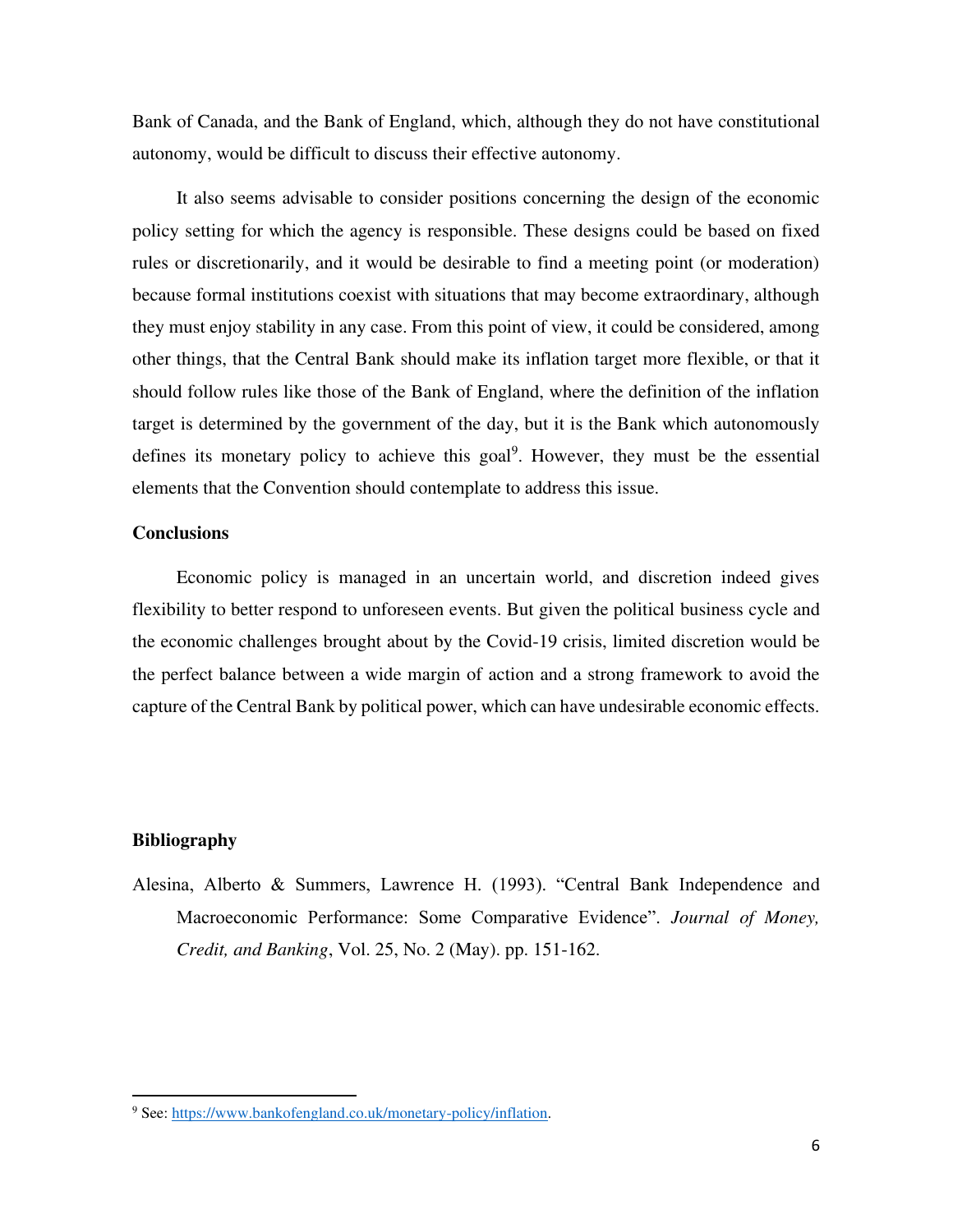Bank of Canada, and the Bank of England, which, although they do not have constitutional autonomy, would be difficult to discuss their effective autonomy.

It also seems advisable to consider positions concerning the design of the economic policy setting for which the agency is responsible. These designs could be based on fixed rules or discretionarily, and it would be desirable to find a meeting point (or moderation) because formal institutions coexist with situations that may become extraordinary, although they must enjoy stability in any case. From this point of view, it could be considered, among other things, that the Central Bank should make its inflation target more flexible, or that it should follow rules like those of the Bank of England, where the definition of the inflation target is determined by the government of the day, but it is the Bank which autonomously defines its monetary policy to achieve this goal<sup>9</sup>. However, they must be the essential elements that the Convention should contemplate to address this issue.

### **Conclusions**

Economic policy is managed in an uncertain world, and discretion indeed gives flexibility to better respond to unforeseen events. But given the political business cycle and the economic challenges brought about by the Covid-19 crisis, limited discretion would be the perfect balance between a wide margin of action and a strong framework to avoid the capture of the Central Bank by political power, which can have undesirable economic effects.

#### **Bibliography**

Alesina, Alberto & Summers, Lawrence H. (1993). "Central Bank Independence and Macroeconomic Performance: Some Comparative Evidence". *Journal of Money, Credit, and Banking*, Vol. 25, No. 2 (May). pp. 151-162.

<sup>&</sup>lt;sup>9</sup> See[: https://www.bankofengland.co.uk/monetary-policy/inflation.](https://www.bankofengland.co.uk/monetary-policy/inflation)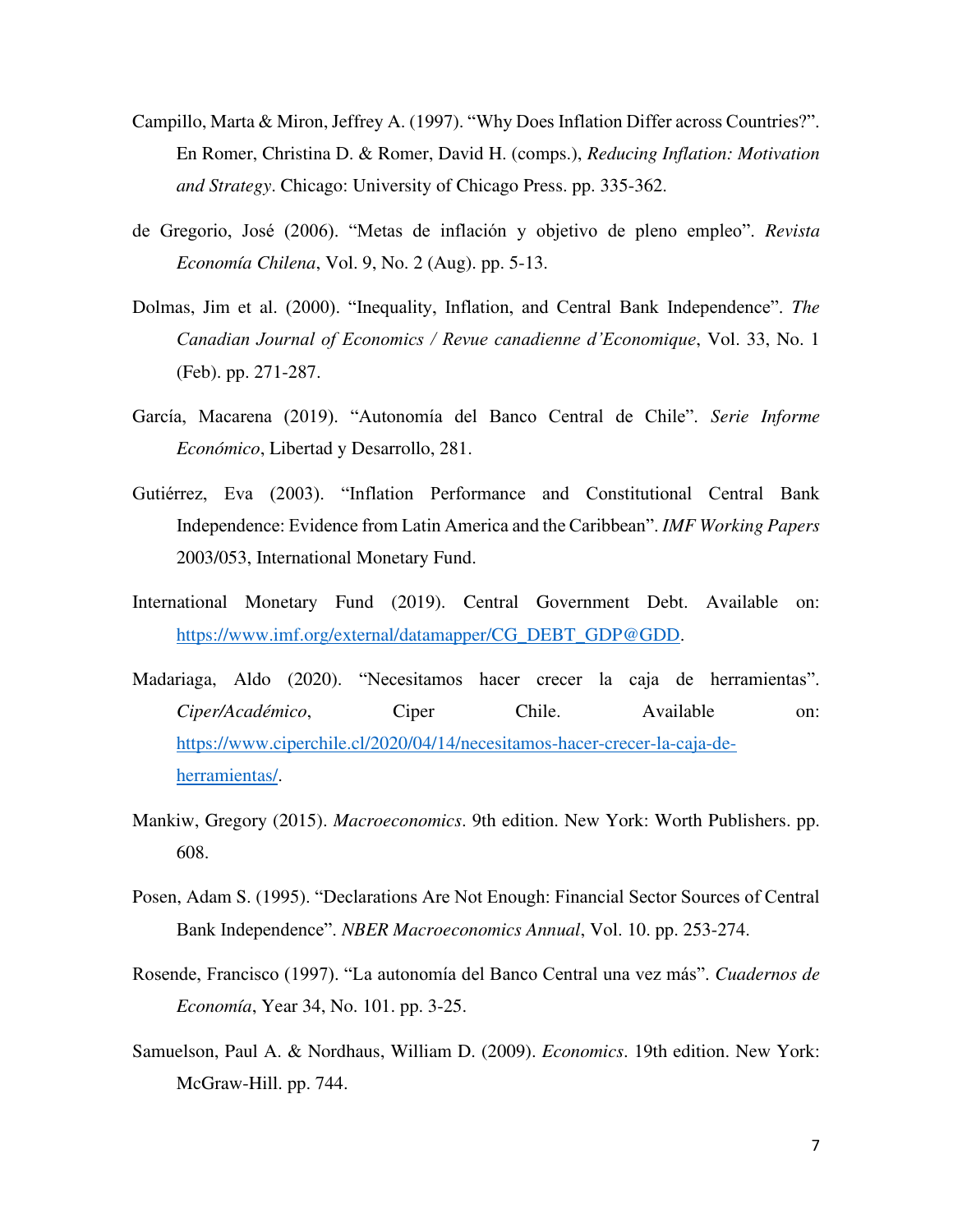- Campillo, Marta & Miron, Jeffrey A. (1997). "Why Does Inflation Differ across Countries?". En Romer, Christina D. & Romer, David H. (comps.), *Reducing Inflation: Motivation and Strategy*. Chicago: University of Chicago Press. pp. 335-362.
- de Gregorio, José (2006). "Metas de inflación y objetivo de pleno empleo". *Revista Economía Chilena*, Vol. 9, No. 2 (Aug). pp. 5-13.
- Dolmas, Jim et al. (2000). "Inequality, Inflation, and Central Bank Independence". *The Canadian Journal of Economics / Revue canadienne d'Economique*, Vol. 33, No. 1 (Feb). pp. 271-287.
- García, Macarena (2019). "Autonomía del Banco Central de Chile". *Serie Informe Económico*, Libertad y Desarrollo, 281.
- Gutiérrez, Eva (2003). "Inflation Performance and Constitutional Central Bank Independence: Evidence from Latin America and the Caribbean". *IMF Working Papers* 2003/053, International Monetary Fund.
- International Monetary Fund (2019). Central Government Debt. Available on: [https://www.imf.org/external/datamapper/CG\\_DEBT\\_GDP@GDD.](https://www.imf.org/external/datamapper/CG_DEBT_GDP@GDD)
- Madariaga, Aldo (2020). "Necesitamos hacer crecer la caja de herramientas". *Ciper/Académico*, Ciper Chile. Available on: [https://www.ciperchile.cl/2020/04/14/necesitamos-hacer-crecer-la-caja-de](https://www.ciperchile.cl/2020/04/14/necesitamos-hacer-crecer-la-caja-de-herramientas/)[herramientas/.](https://www.ciperchile.cl/2020/04/14/necesitamos-hacer-crecer-la-caja-de-herramientas/)
- Mankiw, Gregory (2015). *Macroeconomics*. 9th edition. New York: Worth Publishers. pp. 608.
- Posen, Adam S. (1995). "Declarations Are Not Enough: Financial Sector Sources of Central Bank Independence". *NBER Macroeconomics Annual*, Vol. 10. pp. 253-274.
- Rosende, Francisco (1997). "La autonomía del Banco Central una vez más". *Cuadernos de Economía*, Year 34, No. 101. pp. 3-25.
- Samuelson, Paul A. & Nordhaus, William D. (2009). *Economics*. 19th edition. New York: McGraw-Hill. pp. 744.